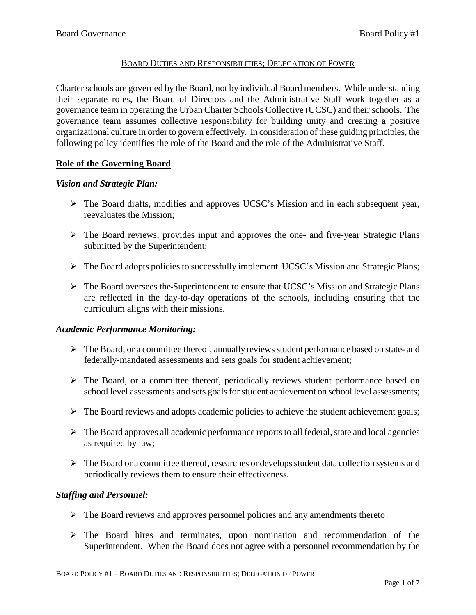## BOARD DUTIES AND RESPONSIBILITIES; DELEGATION OF POWER

Charter schools are governed by the Board, not by individual Board members. While understanding their separate roles, the Board of Directors and the Administrative Staff work together as a governance team in operating the Urban Charter Schools Collective (UCSC) and their schools. The governance team assumes collective responsibility for building unity and creating a positive organizational culture in order to govern effectively. In consideration of these guiding principles, the following policy identifies the role of the Board and the role of the Administrative Staff.

## **Role of the Governing Board**

## *Vision and Strategic Plan:*

- The Board drafts, modifies and approves UCSC's Mission and in each subsequent year, reevaluates the Mission;
- $\triangleright$  The Board reviews, provides input and approves the one- and five-year Strategic Plans submitted by the Superintendent;
- The Board adopts policies to successfully implement UCSC's Mission and Strategic Plans;
- $\triangleright$  The Board oversees the Superintendent to ensure that UCSC's Mission and Strategic Plans are reflected in the day-to-day operations of the schools, including ensuring that the curriculum aligns with their missions.

## *Academic Performance Monitoring:*

- $\triangleright$  The Board, or a committee thereof, annually reviews student performance based on state- and federally-mandated assessments and sets goals for student achievement;
- $\triangleright$  The Board, or a committee thereof, periodically reviews student performance based on school level assessments and sets goals for student achievement on school level assessments;
- $\triangleright$  The Board reviews and adopts academic policies to achieve the student achievement goals;
- $\triangleright$  The Board approves all academic performance reports to all federal, state and local agencies as required by law;
- $\triangleright$  The Board or a committee thereof, researches or develops student data collection systems and periodically reviews them to ensure their effectiveness.

# *Staffing and Personnel:*

- $\triangleright$  The Board reviews and approves personnel policies and any amendments thereto
- $\triangleright$  The Board hires and terminates, upon nomination and recommendation of the Superintendent. When the Board does not agree with a personnel recommendation by the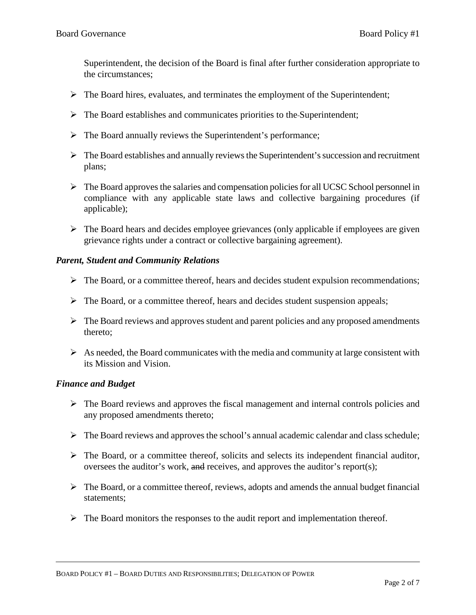Superintendent, the decision of the Board is final after further consideration appropriate to the circumstances;

- $\triangleright$  The Board hires, evaluates, and terminates the employment of the Superintendent;
- $\triangleright$  The Board establishes and communicates priorities to the Superintendent;
- $\triangleright$  The Board annually reviews the Superintendent's performance;
- $\triangleright$  The Board establishes and annually reviews the Superintendent's succession and recruitment plans;
- $\triangleright$  The Board approves the salaries and compensation policies for all UCSC School personnel in compliance with any applicable state laws and collective bargaining procedures (if applicable);
- $\triangleright$  The Board hears and decides employee grievances (only applicable if employees are given grievance rights under a contract or collective bargaining agreement).

### *Parent, Student and Community Relations*

- $\triangleright$  The Board, or a committee thereof, hears and decides student expulsion recommendations;
- $\triangleright$  The Board, or a committee thereof, hears and decides student suspension appeals;
- $\triangleright$  The Board reviews and approves student and parent policies and any proposed amendments thereto;
- $\triangleright$  As needed, the Board communicates with the media and community at large consistent with its Mission and Vision.

#### *Finance and Budget*

- $\triangleright$  The Board reviews and approves the fiscal management and internal controls policies and any proposed amendments thereto;
- $\triangleright$  The Board reviews and approves the school's annual academic calendar and class schedule;
- $\triangleright$  The Board, or a committee thereof, solicits and selects its independent financial auditor, oversees the auditor's work,  $\frac{d}{dt}$  receives, and approves the auditor's report(s);
- $\triangleright$  The Board, or a committee thereof, reviews, adopts and amends the annual budget financial statements;
- $\triangleright$  The Board monitors the responses to the audit report and implementation thereof.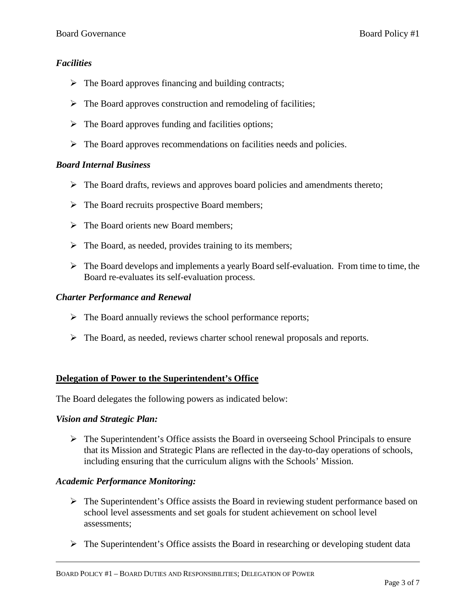## *Facilities*

- $\triangleright$  The Board approves financing and building contracts;
- $\triangleright$  The Board approves construction and remodeling of facilities;
- $\triangleright$  The Board approves funding and facilities options;
- $\triangleright$  The Board approves recommendations on facilities needs and policies.

## *Board Internal Business*

- $\triangleright$  The Board drafts, reviews and approves board policies and amendments thereto;
- $\triangleright$  The Board recruits prospective Board members:
- $\triangleright$  The Board orients new Board members;
- $\triangleright$  The Board, as needed, provides training to its members;
- $\triangleright$  The Board develops and implements a yearly Board self-evaluation. From time to time, the Board re-evaluates its self-evaluation process.

## *Charter Performance and Renewal*

- $\triangleright$  The Board annually reviews the school performance reports;
- $\triangleright$  The Board, as needed, reviews charter school renewal proposals and reports.

## **Delegation of Power to the Superintendent's Office**

The Board delegates the following powers as indicated below:

## *Vision and Strategic Plan:*

 The Superintendent's Office assists the Board in overseeing School Principals to ensure that its Mission and Strategic Plans are reflected in the day-to-day operations of schools, including ensuring that the curriculum aligns with the Schools' Mission.

## *Academic Performance Monitoring:*

- $\triangleright$  The Superintendent's Office assists the Board in reviewing student performance based on school level assessments and set goals for student achievement on school level assessments;
- $\triangleright$  The Superintendent's Office assists the Board in researching or developing student data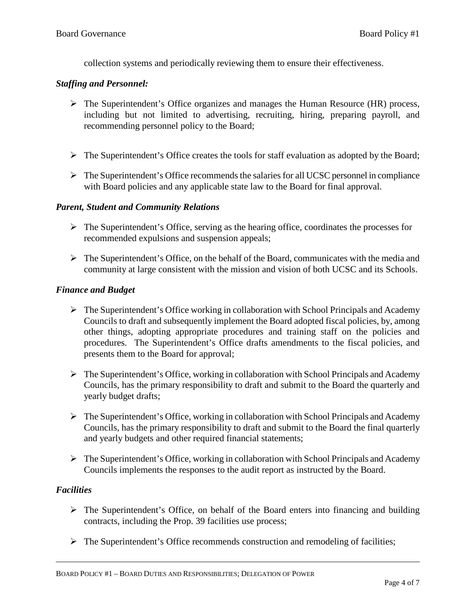collection systems and periodically reviewing them to ensure their effectiveness.

### *Staffing and Personnel:*

- The Superintendent's Office organizes and manages the Human Resource (HR) process, including but not limited to advertising, recruiting, hiring, preparing payroll, and recommending personnel policy to the Board;
- $\triangleright$  The Superintendent's Office creates the tools for staff evaluation as adopted by the Board;
- $\triangleright$  The Superintendent's Office recommends the salaries for all UCSC personnel in compliance with Board policies and any applicable state law to the Board for final approval.

### *Parent, Student and Community Relations*

- $\triangleright$  The Superintendent's Office, serving as the hearing office, coordinates the processes for recommended expulsions and suspension appeals;
- $\triangleright$  The Superintendent's Office, on the behalf of the Board, communicates with the media and community at large consistent with the mission and vision of both UCSC and its Schools.

### *Finance and Budget*

- $\triangleright$  The Superintendent's Office working in collaboration with School Principals and Academy Councils to draft and subsequently implement the Board adopted fiscal policies, by, among other things, adopting appropriate procedures and training staff on the policies and procedures. The Superintendent's Office drafts amendments to the fiscal policies, and presents them to the Board for approval;
- $\triangleright$  The Superintendent's Office, working in collaboration with School Principals and Academy Councils, has the primary responsibility to draft and submit to the Board the quarterly and yearly budget drafts;
- $\triangleright$  The Superintendent's Office, working in collaboration with School Principals and Academy Councils, has the primary responsibility to draft and submit to the Board the final quarterly and yearly budgets and other required financial statements;
- $\triangleright$  The Superintendent's Office, working in collaboration with School Principals and Academy Councils implements the responses to the audit report as instructed by the Board.

## *Facilities*

- $\triangleright$  The Superintendent's Office, on behalf of the Board enters into financing and building contracts, including the Prop. 39 facilities use process;
- $\triangleright$  The Superintendent's Office recommends construction and remodeling of facilities;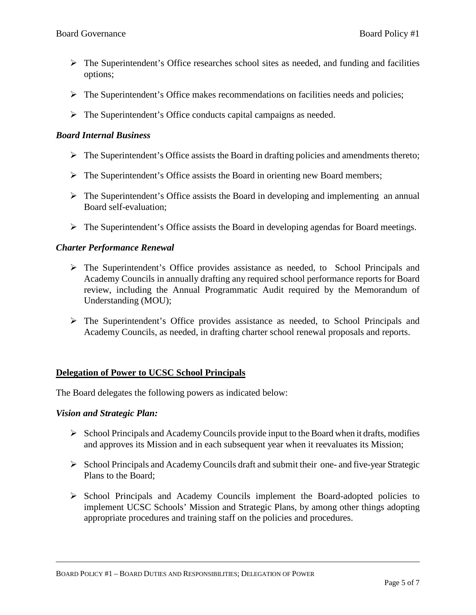- $\triangleright$  The Superintendent's Office researches school sites as needed, and funding and facilities options;
- $\triangleright$  The Superintendent's Office makes recommendations on facilities needs and policies;
- The Superintendent's Office conducts capital campaigns as needed.

### *Board Internal Business*

- $\triangleright$  The Superintendent's Office assists the Board in drafting policies and amendments thereto;
- $\triangleright$  The Superintendent's Office assists the Board in orienting new Board members;
- $\triangleright$  The Superintendent's Office assists the Board in developing and implementing an annual Board self-evaluation;
- The Superintendent's Office assists the Board in developing agendas for Board meetings.

### *Charter Performance Renewal*

- $\triangleright$  The Superintendent's Office provides assistance as needed, to School Principals and Academy Councils in annually drafting any required school performance reports for Board review, including the Annual Programmatic Audit required by the Memorandum of Understanding (MOU);
- The Superintendent's Office provides assistance as needed, to School Principals and Academy Councils, as needed, in drafting charter school renewal proposals and reports.

#### **Delegation of Power to UCSC School Principals**

The Board delegates the following powers as indicated below:

#### *Vision and Strategic Plan:*

- $\triangleright$  School Principals and Academy Councils provide input to the Board when it drafts, modifies and approves its Mission and in each subsequent year when it reevaluates its Mission;
- $\triangleright$  School Principals and Academy Councils draft and submit their one- and five-year Strategic Plans to the Board;
- $\triangleright$  School Principals and Academy Councils implement the Board-adopted policies to implement UCSC Schools' Mission and Strategic Plans, by among other things adopting appropriate procedures and training staff on the policies and procedures.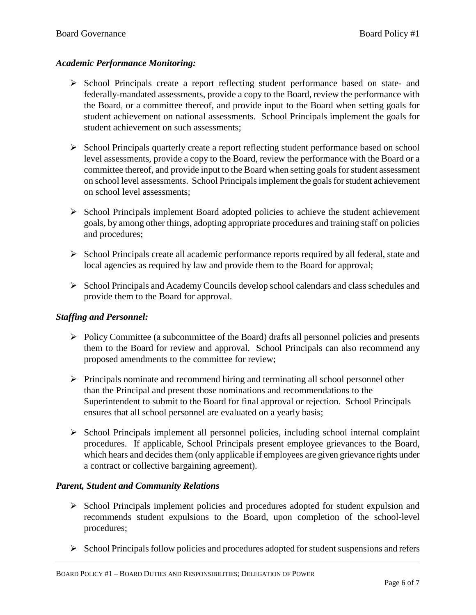## *Academic Performance Monitoring:*

- $\triangleright$  School Principals create a report reflecting student performance based on state- and federally-mandated assessments, provide a copy to the Board, review the performance with the Board, or a committee thereof, and provide input to the Board when setting goals for student achievement on national assessments. School Principals implement the goals for student achievement on such assessments;
- $\triangleright$  School Principals quarterly create a report reflecting student performance based on school level assessments, provide a copy to the Board, review the performance with the Board or a committee thereof, and provide input to the Board when setting goals for student assessment on school level assessments. School Principalsimplement the goals for student achievement on school level assessments;
- $\triangleright$  School Principals implement Board adopted policies to achieve the student achievement goals, by among other things, adopting appropriate procedures and training staff on policies and procedures;
- $\triangleright$  School Principals create all academic performance reports required by all federal, state and local agencies as required by law and provide them to the Board for approval;
- $\triangleright$  School Principals and Academy Councils develop school calendars and class schedules and provide them to the Board for approval.

# *Staffing and Personnel:*

- $\triangleright$  Policy Committee (a subcommittee of the Board) drafts all personnel policies and presents them to the Board for review and approval. School Principals can also recommend any proposed amendments to the committee for review;
- $\triangleright$  Principals nominate and recommend hiring and terminating all school personnel other than the Principal and present those nominations and recommendations to the Superintendent to submit to the Board for final approval or rejection. School Principals ensures that all school personnel are evaluated on a yearly basis;
- $\triangleright$  School Principals implement all personnel policies, including school internal complaint procedures. If applicable, School Principals present employee grievances to the Board, which hears and decides them (only applicable if employees are given grievance rights under a contract or collective bargaining agreement).

# *Parent, Student and Community Relations*

- $\triangleright$  School Principals implement policies and procedures adopted for student expulsion and recommends student expulsions to the Board, upon completion of the school-level procedures;
- $\triangleright$  School Principals follow policies and procedures adopted for student suspensions and refers